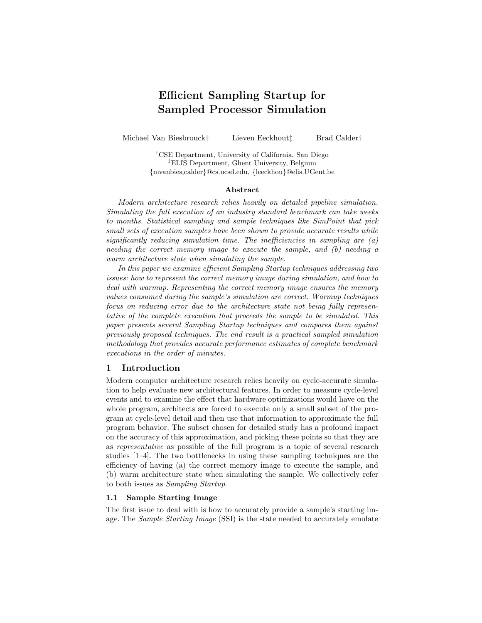# **Efficient Sampling Startup for Sampled Processor Simulation**

Michael Van Biesbrouck† Lieven Eeckhout‡ Brad Calder†

*†*CSE Department, University of California, San Diego *‡*ELIS Department, Ghent University, Belgium *{*mvanbies,calder*}*@cs.ucsd.edu, *{*leeckhou*}*@elis.UGent.be

#### **Abstract**

*Modern architecture research relies heavily on detailed pipeline simulation. Simulating the full execution of an industry standard benchmark can take weeks to months. Statistical sampling and sample techniques like SimPoint that pick small sets of execution samples have been shown to provide accurate results while significantly reducing simulation time. The inefficiencies in sampling are (a) needing the correct memory image to execute the sample, and (b) needing a warm architecture state when simulating the sample.*

*In this paper we examine efficient Sampling Startup techniques addressing two issues: how to represent the correct memory image during simulation, and how to deal with warmup. Representing the correct memory image ensures the memory values consumed during the sample's simulation are correct. Warmup techniques focus on reducing error due to the architecture state not being fully representative of the complete execution that proceeds the sample to be simulated. This paper presents several Sampling Startup techniques and compares them against previously proposed techniques. The end result is a practical sampled simulation methodology that provides accurate performance estimates of complete benchmark executions in the order of minutes.*

# **1 Introduction**

Modern computer architecture research relies heavily on cycle-accurate simulation to help evaluate new architectural features. In order to measure cycle-level events and to examine the effect that hardware optimizations would have on the whole program, architects are forced to execute only a small subset of the program at cycle-level detail and then use that information to approximate the full program behavior. The subset chosen for detailed study has a profound impact on the accuracy of this approximation, and picking these points so that they are as *representative* as possible of the full program is a topic of several research studies [1–4]. The two bottlenecks in using these sampling techniques are the efficiency of having (a) the correct memory image to execute the sample, and (b) warm architecture state when simulating the sample. We collectively refer to both issues as *Sampling Startup*.

# **1.1 Sample Starting Image**

The first issue to deal with is how to accurately provide a sample's starting image. The *Sample Starting Image* (SSI) is the state needed to accurately emulate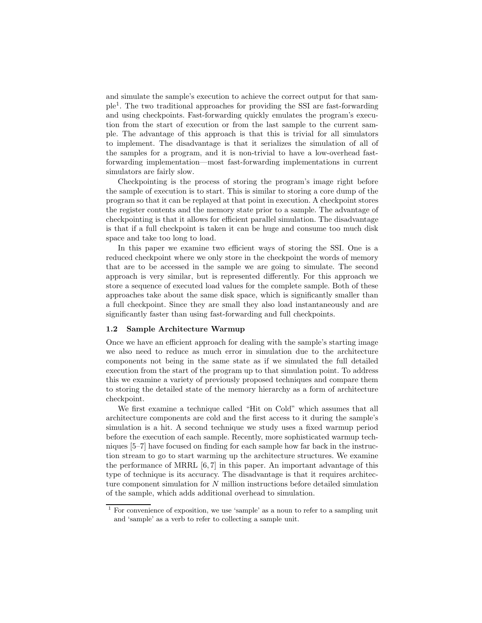and simulate the sample's execution to achieve the correct output for that sample1. The two traditional approaches for providing the SSI are fast-forwarding and using checkpoints. Fast-forwarding quickly emulates the program's execution from the start of execution or from the last sample to the current sample. The advantage of this approach is that this is trivial for all simulators to implement. The disadvantage is that it serializes the simulation of all of the samples for a program, and it is non-trivial to have a low-overhead fastforwarding implementation—most fast-forwarding implementations in current simulators are fairly slow.

Checkpointing is the process of storing the program's image right before the sample of execution is to start. This is similar to storing a core dump of the program so that it can be replayed at that point in execution. A checkpoint stores the register contents and the memory state prior to a sample. The advantage of checkpointing is that it allows for efficient parallel simulation. The disadvantage is that if a full checkpoint is taken it can be huge and consume too much disk space and take too long to load.

In this paper we examine two efficient ways of storing the SSI. One is a reduced checkpoint where we only store in the checkpoint the words of memory that are to be accessed in the sample we are going to simulate. The second approach is very similar, but is represented differently. For this approach we store a sequence of executed load values for the complete sample. Both of these approaches take about the same disk space, which is significantly smaller than a full checkpoint. Since they are small they also load instantaneously and are significantly faster than using fast-forwarding and full checkpoints.

## **1.2 Sample Architecture Warmup**

Once we have an efficient approach for dealing with the sample's starting image we also need to reduce as much error in simulation due to the architecture components not being in the same state as if we simulated the full detailed execution from the start of the program up to that simulation point. To address this we examine a variety of previously proposed techniques and compare them to storing the detailed state of the memory hierarchy as a form of architecture checkpoint.

We first examine a technique called "Hit on Cold" which assumes that all architecture components are cold and the first access to it during the sample's simulation is a hit. A second technique we study uses a fixed warmup period before the execution of each sample. Recently, more sophisticated warmup techniques [5–7] have focused on finding for each sample how far back in the instruction stream to go to start warming up the architecture structures. We examine the performance of MRRL  $[6, 7]$  in this paper. An important advantage of this type of technique is its accuracy. The disadvantage is that it requires architecture component simulation for *N* million instructions before detailed simulation of the sample, which adds additional overhead to simulation.

 $1$  For convenience of exposition, we use 'sample' as a noun to refer to a sampling unit and 'sample' as a verb to refer to collecting a sample unit.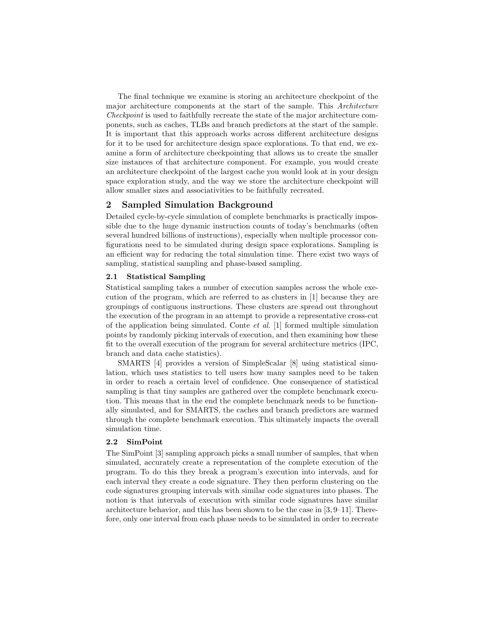The final technique we examine is storing an architecture checkpoint of the major architecture components at the start of the sample. This *Architecture Checkpoint* is used to faithfully recreate the state of the major architecture components, such as caches, TLBs and branch predictors at the start of the sample. It is important that this approach works across different architecture designs for it to be used for architecture design space explorations. To that end, we examine a form of architecture checkpointing that allows us to create the smaller size instances of that architecture component. For example, you would create an architecture checkpoint of the largest cache you would look at in your design space exploration study, and the way we store the architecture checkpoint will allow smaller sizes and associativities to be faithfully recreated.

# **2 Sampled Simulation Background**

Detailed cycle-by-cycle simulation of complete benchmarks is practically impossible due to the huge dynamic instruction counts of today's benchmarks (often several hundred billions of instructions), especially when multiple processor configurations need to be simulated during design space explorations. Sampling is an efficient way for reducing the total simulation time. There exist two ways of sampling, statistical sampling and phase-based sampling.

# **2.1 Statistical Sampling**

Statistical sampling takes a number of execution samples across the whole execution of the program, which are referred to as clusters in [1] because they are groupings of contiguous instructions. These clusters are spread out throughout the execution of the program in an attempt to provide a representative cross-cut of the application being simulated. Conte *et al.* [1] formed multiple simulation points by randomly picking intervals of execution, and then examining how these fit to the overall execution of the program for several architecture metrics (IPC, branch and data cache statistics).

SMARTS [4] provides a version of SimpleScalar [8] using statistical simulation, which uses statistics to tell users how many samples need to be taken in order to reach a certain level of confidence. One consequence of statistical sampling is that tiny samples are gathered over the complete benchmark execution. This means that in the end the complete benchmark needs to be functionally simulated, and for SMARTS, the caches and branch predictors are warmed through the complete benchmark execution. This ultimately impacts the overall simulation time.

# **2.2 SimPoint**

The SimPoint [3] sampling approach picks a small number of samples, that when simulated, accurately create a representation of the complete execution of the program. To do this they break a program's execution into intervals, and for each interval they create a code signature. They then perform clustering on the code signatures grouping intervals with similar code signatures into phases. The notion is that intervals of execution with similar code signatures have similar architecture behavior, and this has been shown to be the case in [3, 9–11]. Therefore, only one interval from each phase needs to be simulated in order to recreate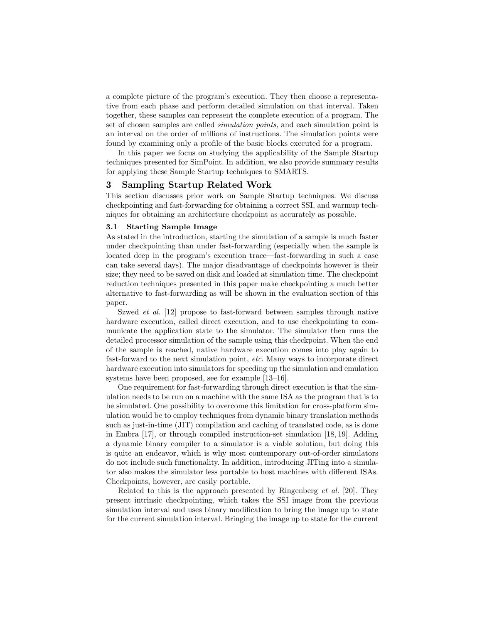a complete picture of the program's execution. They then choose a representative from each phase and perform detailed simulation on that interval. Taken together, these samples can represent the complete execution of a program. The set of chosen samples are called *simulation points*, and each simulation point is an interval on the order of millions of instructions. The simulation points were found by examining only a profile of the basic blocks executed for a program.

In this paper we focus on studying the applicability of the Sample Startup techniques presented for SimPoint. In addition, we also provide summary results for applying these Sample Startup techniques to SMARTS.

# **3 Sampling Startup Related Work**

This section discusses prior work on Sample Startup techniques. We discuss checkpointing and fast-forwarding for obtaining a correct SSI, and warmup techniques for obtaining an architecture checkpoint as accurately as possible.

#### **3.1 Starting Sample Image**

As stated in the introduction, starting the simulation of a sample is much faster under checkpointing than under fast-forwarding (especially when the sample is located deep in the program's execution trace—fast-forwarding in such a case can take several days). The major disadvantage of checkpoints however is their size; they need to be saved on disk and loaded at simulation time. The checkpoint reduction techniques presented in this paper make checkpointing a much better alternative to fast-forwarding as will be shown in the evaluation section of this paper.

Szwed *et al.* [12] propose to fast-forward between samples through native hardware execution, called direct execution, and to use checkpointing to communicate the application state to the simulator. The simulator then runs the detailed processor simulation of the sample using this checkpoint. When the end of the sample is reached, native hardware execution comes into play again to fast-forward to the next simulation point, *etc*. Many ways to incorporate direct hardware execution into simulators for speeding up the simulation and emulation systems have been proposed, see for example [13–16].

One requirement for fast-forwarding through direct execution is that the simulation needs to be run on a machine with the same ISA as the program that is to be simulated. One possibility to overcome this limitation for cross-platform simulation would be to employ techniques from dynamic binary translation methods such as just-in-time (JIT) compilation and caching of translated code, as is done in Embra [17], or through compiled instruction-set simulation [18, 19]. Adding a dynamic binary compiler to a simulator is a viable solution, but doing this is quite an endeavor, which is why most contemporary out-of-order simulators do not include such functionality. In addition, introducing JITing into a simulator also makes the simulator less portable to host machines with different ISAs. Checkpoints, however, are easily portable.

Related to this is the approach presented by Ringenberg *et al.* [20]. They present intrinsic checkpointing, which takes the SSI image from the previous simulation interval and uses binary modification to bring the image up to state for the current simulation interval. Bringing the image up to state for the current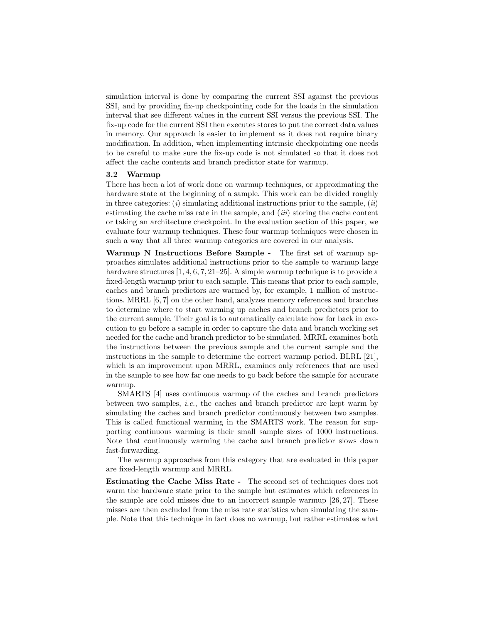simulation interval is done by comparing the current SSI against the previous SSI, and by providing fix-up checkpointing code for the loads in the simulation interval that see different values in the current SSI versus the previous SSI. The fix-up code for the current SSI then executes stores to put the correct data values in memory. Our approach is easier to implement as it does not require binary modification. In addition, when implementing intrinsic checkpointing one needs to be careful to make sure the fix-up code is not simulated so that it does not affect the cache contents and branch predictor state for warmup.

#### **3.2 Warmup**

There has been a lot of work done on warmup techniques, or approximating the hardware state at the beginning of a sample. This work can be divided roughly in three categories: (*i*) simulating additional instructions prior to the sample, (*ii*) estimating the cache miss rate in the sample, and (*iii*) storing the cache content or taking an architecture checkpoint. In the evaluation section of this paper, we evaluate four warmup techniques. These four warmup techniques were chosen in such a way that all three warmup categories are covered in our analysis.

**Warmup N Instructions Before Sample -** The first set of warmup approaches simulates additional instructions prior to the sample to warmup large hardware structures  $[1, 4, 6, 7, 21-25]$ . A simple warmup technique is to provide a fixed-length warmup prior to each sample. This means that prior to each sample, caches and branch predictors are warmed by, for example, 1 million of instructions. MRRL [6, 7] on the other hand, analyzes memory references and branches to determine where to start warming up caches and branch predictors prior to the current sample. Their goal is to automatically calculate how for back in execution to go before a sample in order to capture the data and branch working set needed for the cache and branch predictor to be simulated. MRRL examines both the instructions between the previous sample and the current sample and the instructions in the sample to determine the correct warmup period. BLRL [21], which is an improvement upon MRRL, examines only references that are used in the sample to see how far one needs to go back before the sample for accurate warmup.

SMARTS [4] uses continuous warmup of the caches and branch predictors between two samples, *i.e.*, the caches and branch predictor are kept warm by simulating the caches and branch predictor continuously between two samples. This is called functional warming in the SMARTS work. The reason for supporting continuous warming is their small sample sizes of 1000 instructions. Note that continuously warming the cache and branch predictor slows down fast-forwarding.

The warmup approaches from this category that are evaluated in this paper are fixed-length warmup and MRRL.

**Estimating the Cache Miss Rate -** The second set of techniques does not warm the hardware state prior to the sample but estimates which references in the sample are cold misses due to an incorrect sample warmup [26, 27]. These misses are then excluded from the miss rate statistics when simulating the sample. Note that this technique in fact does no warmup, but rather estimates what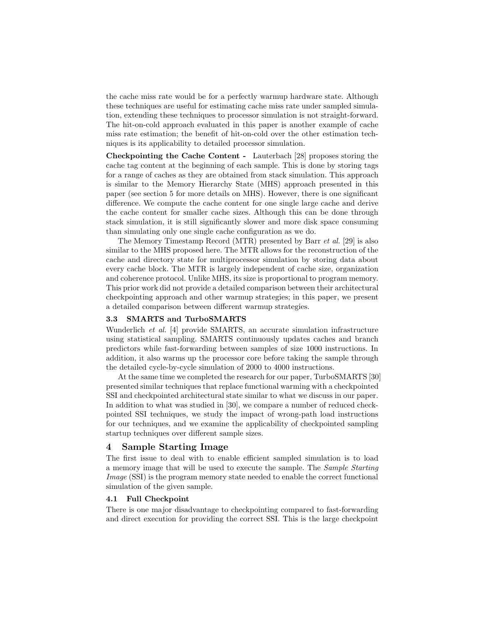the cache miss rate would be for a perfectly warmup hardware state. Although these techniques are useful for estimating cache miss rate under sampled simulation, extending these techniques to processor simulation is not straight-forward. The hit-on-cold approach evaluated in this paper is another example of cache miss rate estimation; the benefit of hit-on-cold over the other estimation techniques is its applicability to detailed processor simulation.

**Checkpointing the Cache Content -** Lauterbach [28] proposes storing the cache tag content at the beginning of each sample. This is done by storing tags for a range of caches as they are obtained from stack simulation. This approach is similar to the Memory Hierarchy State (MHS) approach presented in this paper (see section 5 for more details on MHS). However, there is one significant difference. We compute the cache content for one single large cache and derive the cache content for smaller cache sizes. Although this can be done through stack simulation, it is still significantly slower and more disk space consuming than simulating only one single cache configuration as we do.

The Memory Timestamp Record (MTR) presented by Barr *et al.* [29] is also similar to the MHS proposed here. The MTR allows for the reconstruction of the cache and directory state for multiprocessor simulation by storing data about every cache block. The MTR is largely independent of cache size, organization and coherence protocol. Unlike MHS, its size is proportional to program memory. This prior work did not provide a detailed comparison between their architectural checkpointing approach and other warmup strategies; in this paper, we present a detailed comparison between different warmup strategies.

#### **3.3 SMARTS and TurboSMARTS**

Wunderlich *et al.* [4] provide SMARTS, an accurate simulation infrastructure using statistical sampling. SMARTS continuously updates caches and branch predictors while fast-forwarding between samples of size 1000 instructions. In addition, it also warms up the processor core before taking the sample through the detailed cycle-by-cycle simulation of 2000 to 4000 instructions.

At the same time we completed the research for our paper, TurboSMARTS [30] presented similar techniques that replace functional warming with a checkpointed SSI and checkpointed architectural state similar to what we discuss in our paper. In addition to what was studied in [30], we compare a number of reduced checkpointed SSI techniques, we study the impact of wrong-path load instructions for our techniques, and we examine the applicability of checkpointed sampling startup techniques over different sample sizes.

# **4 Sample Starting Image**

The first issue to deal with to enable efficient sampled simulation is to load a memory image that will be used to execute the sample. The *Sample Starting Image* (SSI) is the program memory state needed to enable the correct functional simulation of the given sample.

# **4.1 Full Checkpoint**

There is one major disadvantage to checkpointing compared to fast-forwarding and direct execution for providing the correct SSI. This is the large checkpoint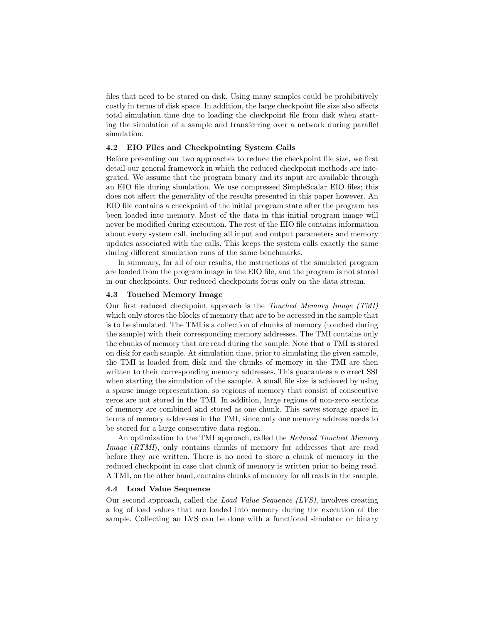files that need to be stored on disk. Using many samples could be prohibitively costly in terms of disk space. In addition, the large checkpoint file size also affects total simulation time due to loading the checkpoint file from disk when starting the simulation of a sample and transferring over a network during parallel simulation.

# **4.2 EIO Files and Checkpointing System Calls**

Before presenting our two approaches to reduce the checkpoint file size, we first detail our general framework in which the reduced checkpoint methods are integrated. We assume that the program binary and its input are available through an EIO file during simulation. We use compressed SimpleScalar EIO files; this does not affect the generality of the results presented in this paper however. An EIO file contains a checkpoint of the initial program state after the program has been loaded into memory. Most of the data in this initial program image will never be modified during execution. The rest of the EIO file contains information about every system call, including all input and output parameters and memory updates associated with the calls. This keeps the system calls exactly the same during different simulation runs of the same benchmarks.

In summary, for all of our results, the instructions of the simulated program are loaded from the program image in the EIO file, and the program is not stored in our checkpoints. Our reduced checkpoints focus only on the data stream.

# **4.3 Touched Memory Image**

Our first reduced checkpoint approach is the *Touched Memory Image (TMI)* which only stores the blocks of memory that are to be accessed in the sample that is to be simulated. The TMI is a collection of chunks of memory (touched during the sample) with their corresponding memory addresses. The TMI contains only the chunks of memory that are read during the sample. Note that a TMI is stored on disk for each sample. At simulation time, prior to simulating the given sample, the TMI is loaded from disk and the chunks of memory in the TMI are then written to their corresponding memory addresses. This guarantees a correct SSI when starting the simulation of the sample. A small file size is achieved by using a sparse image representation, so regions of memory that consist of consecutive zeros are not stored in the TMI. In addition, large regions of non-zero sections of memory are combined and stored as one chunk. This saves storage space in terms of memory addresses in the TMI, since only one memory address needs to be stored for a large consecutive data region.

An optimization to the TMI approach, called the *Reduced Touched Memory Image* (*RTMI*), only contains chunks of memory for addresses that are read before they are written. There is no need to store a chunk of memory in the reduced checkpoint in case that chunk of memory is written prior to being read. A TMI, on the other hand, contains chunks of memory for all reads in the sample.

#### **4.4 Load Value Sequence**

Our second approach, called the *Load Value Sequence (LVS)*, involves creating a log of load values that are loaded into memory during the execution of the sample. Collecting an LVS can be done with a functional simulator or binary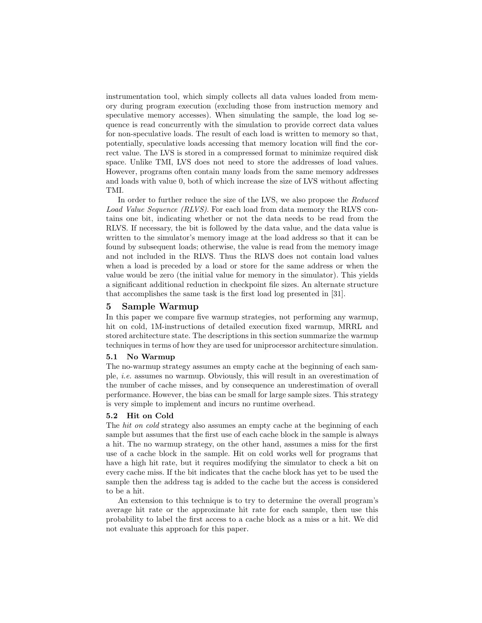instrumentation tool, which simply collects all data values loaded from memory during program execution (excluding those from instruction memory and speculative memory accesses). When simulating the sample, the load log sequence is read concurrently with the simulation to provide correct data values for non-speculative loads. The result of each load is written to memory so that, potentially, speculative loads accessing that memory location will find the correct value. The LVS is stored in a compressed format to minimize required disk space. Unlike TMI, LVS does not need to store the addresses of load values. However, programs often contain many loads from the same memory addresses and loads with value 0, both of which increase the size of LVS without affecting TMI.

In order to further reduce the size of the LVS, we also propose the *Reduced Load Value Sequence (RLVS)*. For each load from data memory the RLVS contains one bit, indicating whether or not the data needs to be read from the RLVS. If necessary, the bit is followed by the data value, and the data value is written to the simulator's memory image at the load address so that it can be found by subsequent loads; otherwise, the value is read from the memory image and not included in the RLVS. Thus the RLVS does not contain load values when a load is preceded by a load or store for the same address or when the value would be zero (the initial value for memory in the simulator). This yields a significant additional reduction in checkpoint file sizes. An alternate structure that accomplishes the same task is the first load log presented in [31].

# **5 Sample Warmup**

In this paper we compare five warmup strategies, not performing any warmup, hit on cold, 1M-instructions of detailed execution fixed warmup, MRRL and stored architecture state. The descriptions in this section summarize the warmup techniques in terms of how they are used for uniprocessor architecture simulation.

#### **5.1 No Warmup**

The no-warmup strategy assumes an empty cache at the beginning of each sample, *i.e.* assumes no warmup. Obviously, this will result in an overestimation of the number of cache misses, and by consequence an underestimation of overall performance. However, the bias can be small for large sample sizes. This strategy is very simple to implement and incurs no runtime overhead.

## **5.2 Hit on Cold**

The *hit on cold* strategy also assumes an empty cache at the beginning of each sample but assumes that the first use of each cache block in the sample is always a hit. The no warmup strategy, on the other hand, assumes a miss for the first use of a cache block in the sample. Hit on cold works well for programs that have a high hit rate, but it requires modifying the simulator to check a bit on every cache miss. If the bit indicates that the cache block has yet to be used the sample then the address tag is added to the cache but the access is considered to be a hit.

An extension to this technique is to try to determine the overall program's average hit rate or the approximate hit rate for each sample, then use this probability to label the first access to a cache block as a miss or a hit. We did not evaluate this approach for this paper.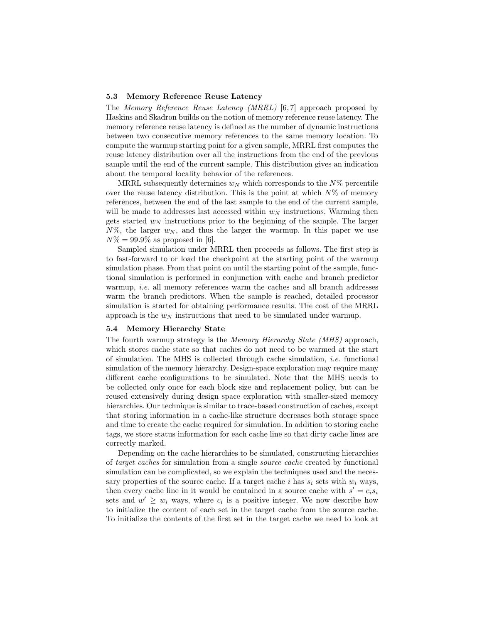#### **5.3 Memory Reference Reuse Latency**

The *Memory Reference Reuse Latency (MRRL)* [6, 7] approach proposed by Haskins and Skadron builds on the notion of memory reference reuse latency. The memory reference reuse latency is defined as the number of dynamic instructions between two consecutive memory references to the same memory location. To compute the warmup starting point for a given sample, MRRL first computes the reuse latency distribution over all the instructions from the end of the previous sample until the end of the current sample. This distribution gives an indication about the temporal locality behavior of the references.

MRRL subsequently determines  $w_N$  which corresponds to the  $N\%$  percentile over the reuse latency distribution. This is the point at which  $N\%$  of memory references, between the end of the last sample to the end of the current sample, will be made to addresses last accessed within  $w_N$  instructions. Warming then gets started *w<sup>N</sup>* instructions prior to the beginning of the sample. The larger  $N\%$ , the larger  $w_N$ , and thus the larger the warmup. In this paper we use  $N\% = 99.9\%$  as proposed in [6].

Sampled simulation under MRRL then proceeds as follows. The first step is to fast-forward to or load the checkpoint at the starting point of the warmup simulation phase. From that point on until the starting point of the sample, functional simulation is performed in conjunction with cache and branch predictor warmup, *i.e.* all memory references warm the caches and all branch addresses warm the branch predictors. When the sample is reached, detailed processor simulation is started for obtaining performance results. The cost of the MRRL approach is the  $w_N$  instructions that need to be simulated under warmup.

#### **5.4 Memory Hierarchy State**

The fourth warmup strategy is the *Memory Hierarchy State (MHS)* approach, which stores cache state so that caches do not need to be warmed at the start of simulation. The MHS is collected through cache simulation, *i.e.* functional simulation of the memory hierarchy. Design-space exploration may require many different cache configurations to be simulated. Note that the MHS needs to be collected only once for each block size and replacement policy, but can be reused extensively during design space exploration with smaller-sized memory hierarchies. Our technique is similar to trace-based construction of caches, except that storing information in a cache-like structure decreases both storage space and time to create the cache required for simulation. In addition to storing cache tags, we store status information for each cache line so that dirty cache lines are correctly marked.

Depending on the cache hierarchies to be simulated, constructing hierarchies of *target caches* for simulation from a single *source cache* created by functional simulation can be complicated, so we explain the techniques used and the necessary properties of the source cache. If a target cache *i* has  $s_i$  sets with  $w_i$  ways, then every cache line in it would be contained in a source cache with  $s' = c_i s_i$ sets and  $w' \geq w_i$  ways, where  $c_i$  is a positive integer. We now describe how to initialize the content of each set in the target cache from the source cache. To initialize the contents of the first set in the target cache we need to look at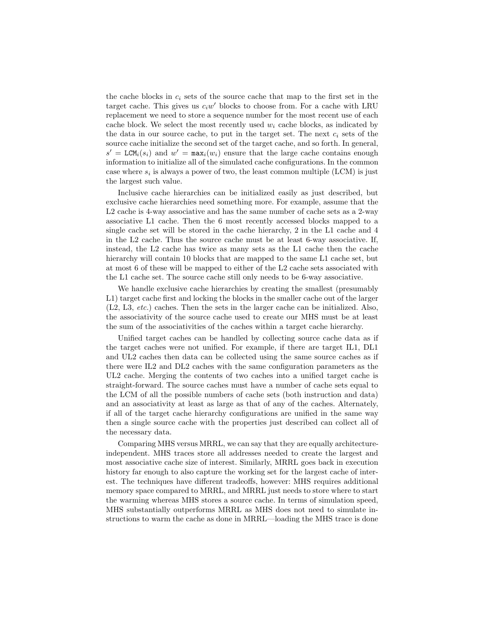the cache blocks in  $c_i$  sets of the source cache that map to the first set in the target cache. This gives us  $c_iw'$  blocks to choose from. For a cache with LRU replacement we need to store a sequence number for the most recent use of each cache block. We select the most recently used  $w_i$  cache blocks, as indicated by the data in our source cache, to put in the target set. The next  $c_i$  sets of the source cache initialize the second set of the target cache, and so forth. In general,  $s' = \texttt{LCM}_i(s_i)$  and  $w' = \max_i(w_i)$  ensure that the large cache contains enough information to initialize all of the simulated cache configurations. In the common case where  $s_i$  is always a power of two, the least common multiple  $(LCM)$  is just the largest such value.

Inclusive cache hierarchies can be initialized easily as just described, but exclusive cache hierarchies need something more. For example, assume that the L2 cache is 4-way associative and has the same number of cache sets as a 2-way associative L1 cache. Then the 6 most recently accessed blocks mapped to a single cache set will be stored in the cache hierarchy, 2 in the L1 cache and 4 in the L2 cache. Thus the source cache must be at least 6-way associative. If, instead, the L2 cache has twice as many sets as the L1 cache then the cache hierarchy will contain 10 blocks that are mapped to the same L1 cache set, but at most 6 of these will be mapped to either of the L2 cache sets associated with the L1 cache set. The source cache still only needs to be 6-way associative.

We handle exclusive cache hierarchies by creating the smallest (presumably L1) target cache first and locking the blocks in the smaller cache out of the larger (L2, L3, *etc.*) caches. Then the sets in the larger cache can be initialized. Also, the associativity of the source cache used to create our MHS must be at least the sum of the associativities of the caches within a target cache hierarchy.

Unified target caches can be handled by collecting source cache data as if the target caches were not unified. For example, if there are target IL1, DL1 and UL2 caches then data can be collected using the same source caches as if there were IL2 and DL2 caches with the same configuration parameters as the UL2 cache. Merging the contents of two caches into a unified target cache is straight-forward. The source caches must have a number of cache sets equal to the LCM of all the possible numbers of cache sets (both instruction and data) and an associativity at least as large as that of any of the caches. Alternately, if all of the target cache hierarchy configurations are unified in the same way then a single source cache with the properties just described can collect all of the necessary data.

Comparing MHS versus MRRL, we can say that they are equally architectureindependent. MHS traces store all addresses needed to create the largest and most associative cache size of interest. Similarly, MRRL goes back in execution history far enough to also capture the working set for the largest cache of interest. The techniques have different tradeoffs, however: MHS requires additional memory space compared to MRRL, and MRRL just needs to store where to start the warming whereas MHS stores a source cache. In terms of simulation speed, MHS substantially outperforms MRRL as MHS does not need to simulate instructions to warm the cache as done in MRRL—loading the MHS trace is done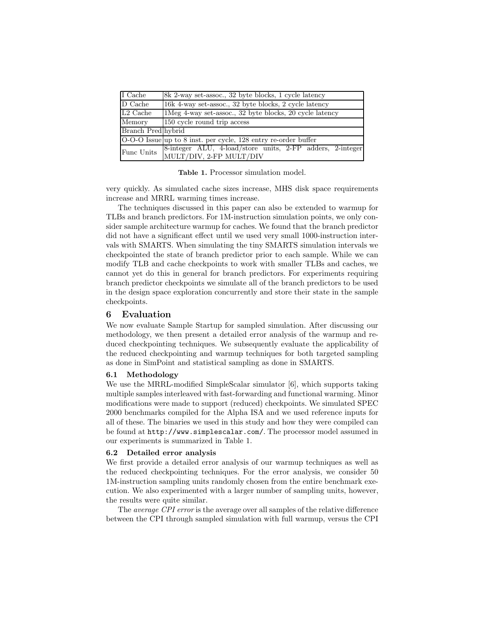| I Cache            | 8k 2-way set-assoc., 32 byte blocks, 1 cycle latency           |
|--------------------|----------------------------------------------------------------|
| D Cache            | 16k 4-way set-assoc., 32 byte blocks, 2 cycle latency          |
| $L2$ Cache         | 1Meg 4-way set-assoc., 32 byte blocks, 20 cycle latency        |
| Memory             | 150 cycle round trip access                                    |
| Branch Pred hybrid |                                                                |
|                    | O-O-O Issue up to 8 inst. per cycle, 128 entry re-order buffer |
| Func Units         | 8-integer ALU, 4-load/store units, 2-FP adders, 2-integer      |
|                    | MULT/DIV, 2-FP MULT/DIV                                        |

**Table 1.** Processor simulation model.

very quickly. As simulated cache sizes increase, MHS disk space requirements increase and MRRL warming times increase.

The techniques discussed in this paper can also be extended to warmup for TLBs and branch predictors. For 1M-instruction simulation points, we only consider sample architecture warmup for caches. We found that the branch predictor did not have a significant effect until we used very small 1000-instruction intervals with SMARTS. When simulating the tiny SMARTS simulation intervals we checkpointed the state of branch predictor prior to each sample. While we can modify TLB and cache checkpoints to work with smaller TLBs and caches, we cannot yet do this in general for branch predictors. For experiments requiring branch predictor checkpoints we simulate all of the branch predictors to be used in the design space exploration concurrently and store their state in the sample checkpoints.

# **6 Evaluation**

We now evaluate Sample Startup for sampled simulation. After discussing our methodology, we then present a detailed error analysis of the warmup and reduced checkpointing techniques. We subsequently evaluate the applicability of the reduced checkpointing and warmup techniques for both targeted sampling as done in SimPoint and statistical sampling as done in SMARTS.

# **6.1 Methodology**

We use the MRRL-modified SimpleScalar simulator [6], which supports taking multiple samples interleaved with fast-forwarding and functional warming. Minor modifications were made to support (reduced) checkpoints. We simulated SPEC 2000 benchmarks compiled for the Alpha ISA and we used reference inputs for all of these. The binaries we used in this study and how they were compiled can be found at http://www.simplescalar.com/. The processor model assumed in our experiments is summarized in Table 1.

# **6.2 Detailed error analysis**

We first provide a detailed error analysis of our warmup techniques as well as the reduced checkpointing techniques. For the error analysis, we consider 50 1M-instruction sampling units randomly chosen from the entire benchmark execution. We also experimented with a larger number of sampling units, however, the results were quite similar.

The *average CPI error* is the average over all samples of the relative difference between the CPI through sampled simulation with full warmup, versus the CPI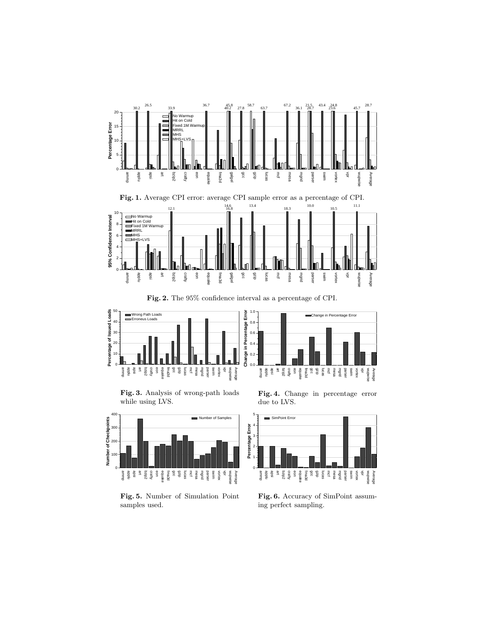

**Fig. 2.** The 95% confidence interval as a percentage of CPI.



ammp applu apsi art bzip2 crafty eon equake fma3d gcc gzip lucas mcf mesa mgrid parser swim vortex vpr wupwise Average Change in Percentage Error

**Fig. 3.** Analysis of wrong-path loads while using LVS.



**Fig. 5.** Number of Simulation Point samples used.

**Fig. 4.** Change in percentage error due to LVS.



**Fig. 6.** Accuracy of SimPoint assuming perfect sampling.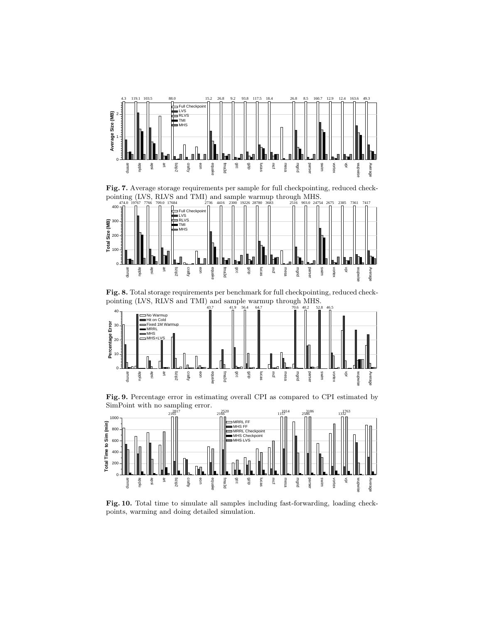

Fig. 7. Average storage requirements per sample for full checkpointing, reduced checkpointing (LVS, RLVS and TMI) and sample warmup through MHS.



Fig. 8. Total storage requirements per benchmark for full checkpointing, reduced checkpointing (LVS, RLVS and TMI) and sample warmup through MHS.



**Fig. 9.** Percentage error in estimating overall CPI as compared to CPI estimated by  $\text{Simp}$  ont with no sampling error.<br> $\frac{2168^{57}}{2168^{57}}$   $\frac{12220}{2168^{57}}$   $\frac{110^{14}}{168^{3}}$   $\frac{1169^{14}}{168^{3}}$   $\frac{11763}{2168^{$ 



**Fig. 10.** Total time to simulate all samples including fast-forwarding, loading checkpoints, warming and doing detailed simulation.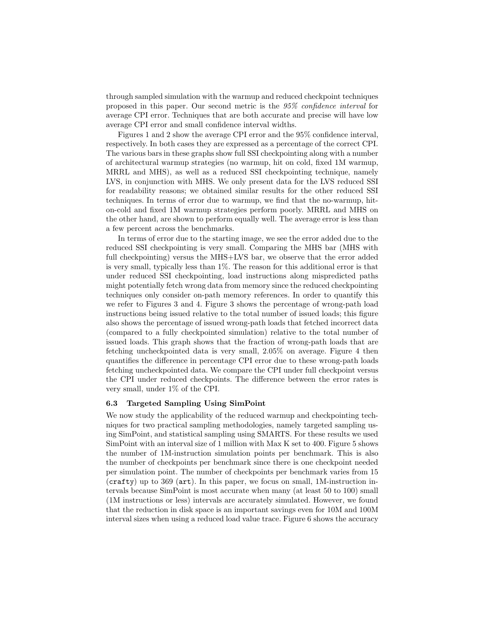through sampled simulation with the warmup and reduced checkpoint techniques proposed in this paper. Our second metric is the *95% confidence interval* for average CPI error. Techniques that are both accurate and precise will have low average CPI error and small confidence interval widths.

Figures 1 and 2 show the average CPI error and the 95% confidence interval, respectively. In both cases they are expressed as a percentage of the correct CPI. The various bars in these graphs show full SSI checkpointing along with a number of architectural warmup strategies (no warmup, hit on cold, fixed 1M warmup, MRRL and MHS), as well as a reduced SSI checkpointing technique, namely LVS, in conjunction with MHS. We only present data for the LVS reduced SSI for readability reasons; we obtained similar results for the other reduced SSI techniques. In terms of error due to warmup, we find that the no-warmup, hiton-cold and fixed 1M warmup strategies perform poorly. MRRL and MHS on the other hand, are shown to perform equally well. The average error is less than a few percent across the benchmarks.

In terms of error due to the starting image, we see the error added due to the reduced SSI checkpointing is very small. Comparing the MHS bar (MHS with full checkpointing) versus the MHS+LVS bar, we observe that the error added is very small, typically less than 1%. The reason for this additional error is that under reduced SSI checkpointing, load instructions along mispredicted paths might potentially fetch wrong data from memory since the reduced checkpointing techniques only consider on-path memory references. In order to quantify this we refer to Figures 3 and 4. Figure 3 shows the percentage of wrong-path load instructions being issued relative to the total number of issued loads; this figure also shows the percentage of issued wrong-path loads that fetched incorrect data (compared to a fully checkpointed simulation) relative to the total number of issued loads. This graph shows that the fraction of wrong-path loads that are fetching uncheckpointed data is very small, 2.05% on average. Figure 4 then quantifies the difference in percentage CPI error due to these wrong-path loads fetching uncheckpointed data. We compare the CPI under full checkpoint versus the CPI under reduced checkpoints. The difference between the error rates is very small, under 1% of the CPI.

# **6.3 Targeted Sampling Using SimPoint**

We now study the applicability of the reduced warmup and checkpointing techniques for two practical sampling methodologies, namely targeted sampling using SimPoint, and statistical sampling using SMARTS. For these results we used SimPoint with an interval size of 1 million with Max K set to 400. Figure 5 shows the number of 1M-instruction simulation points per benchmark. This is also the number of checkpoints per benchmark since there is one checkpoint needed per simulation point. The number of checkpoints per benchmark varies from 15 (crafty) up to 369 (art). In this paper, we focus on small, 1M-instruction intervals because SimPoint is most accurate when many (at least 50 to 100) small (1M instructions or less) intervals are accurately simulated. However, we found that the reduction in disk space is an important savings even for 10M and 100M interval sizes when using a reduced load value trace. Figure 6 shows the accuracy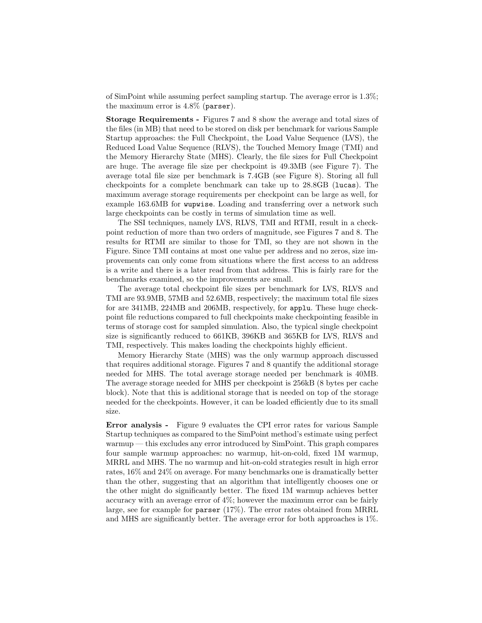of SimPoint while assuming perfect sampling startup. The average error is 1.3%; the maximum error is 4.8% (parser).

**Storage Requirements -** Figures 7 and 8 show the average and total sizes of the files (in MB) that need to be stored on disk per benchmark for various Sample Startup approaches: the Full Checkpoint, the Load Value Sequence (LVS), the Reduced Load Value Sequence (RLVS), the Touched Memory Image (TMI) and the Memory Hierarchy State (MHS). Clearly, the file sizes for Full Checkpoint are huge. The average file size per checkpoint is 49.3MB (see Figure 7). The average total file size per benchmark is 7.4GB (see Figure 8). Storing all full checkpoints for a complete benchmark can take up to 28.8GB (lucas). The maximum average storage requirements per checkpoint can be large as well, for example 163.6MB for wupwise. Loading and transferring over a network such large checkpoints can be costly in terms of simulation time as well.

The SSI techniques, namely LVS, RLVS, TMI and RTMI, result in a checkpoint reduction of more than two orders of magnitude, see Figures 7 and 8. The results for RTMI are similar to those for TMI, so they are not shown in the Figure. Since TMI contains at most one value per address and no zeros, size improvements can only come from situations where the first access to an address is a write and there is a later read from that address. This is fairly rare for the benchmarks examined, so the improvements are small.

The average total checkpoint file sizes per benchmark for LVS, RLVS and TMI are 93.9MB, 57MB and 52.6MB, respectively; the maximum total file sizes for are 341MB, 224MB and 206MB, respectively, for applu. These huge checkpoint file reductions compared to full checkpoints make checkpointing feasible in terms of storage cost for sampled simulation. Also, the typical single checkpoint size is significantly reduced to 661KB, 396KB and 365KB for LVS, RLVS and TMI, respectively. This makes loading the checkpoints highly efficient.

Memory Hierarchy State (MHS) was the only warmup approach discussed that requires additional storage. Figures 7 and 8 quantify the additional storage needed for MHS. The total average storage needed per benchmark is 40MB. The average storage needed for MHS per checkpoint is 256kB (8 bytes per cache block). Note that this is additional storage that is needed on top of the storage needed for the checkpoints. However, it can be loaded efficiently due to its small size.

**Error analysis -** Figure 9 evaluates the CPI error rates for various Sample Startup techniques as compared to the SimPoint method's estimate using perfect warmup — this excludes any error introduced by SimPoint. This graph compares four sample warmup approaches: no warmup, hit-on-cold, fixed 1M warmup, MRRL and MHS. The no warmup and hit-on-cold strategies result in high error rates, 16% and 24% on average. For many benchmarks one is dramatically better than the other, suggesting that an algorithm that intelligently chooses one or the other might do significantly better. The fixed 1M warmup achieves better accuracy with an average error of 4%; however the maximum error can be fairly large, see for example for parser (17%). The error rates obtained from MRRL and MHS are significantly better. The average error for both approaches is 1%.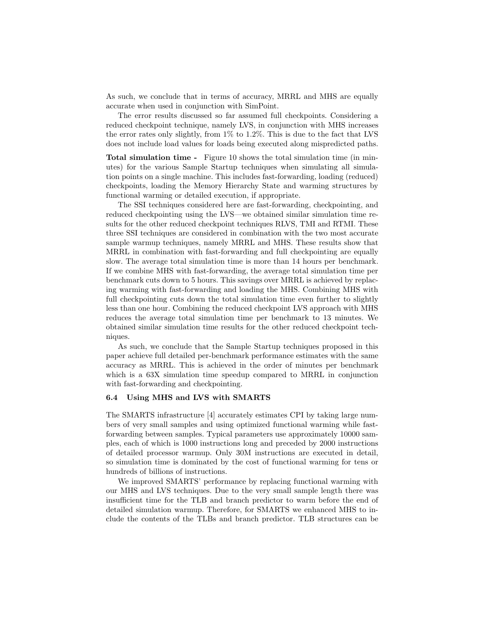As such, we conclude that in terms of accuracy, MRRL and MHS are equally accurate when used in conjunction with SimPoint.

The error results discussed so far assumed full checkpoints. Considering a reduced checkpoint technique, namely LVS, in conjunction with MHS increases the error rates only slightly, from 1% to 1.2%. This is due to the fact that LVS does not include load values for loads being executed along mispredicted paths.

**Total simulation time -** Figure 10 shows the total simulation time (in minutes) for the various Sample Startup techniques when simulating all simulation points on a single machine. This includes fast-forwarding, loading (reduced) checkpoints, loading the Memory Hierarchy State and warming structures by functional warming or detailed execution, if appropriate.

The SSI techniques considered here are fast-forwarding, checkpointing, and reduced checkpointing using the LVS—we obtained similar simulation time results for the other reduced checkpoint techniques RLVS, TMI and RTMI. These three SSI techniques are considered in combination with the two most accurate sample warmup techniques, namely MRRL and MHS. These results show that MRRL in combination with fast-forwarding and full checkpointing are equally slow. The average total simulation time is more than 14 hours per benchmark. If we combine MHS with fast-forwarding, the average total simulation time per benchmark cuts down to 5 hours. This savings over MRRL is achieved by replacing warming with fast-forwarding and loading the MHS. Combining MHS with full checkpointing cuts down the total simulation time even further to slightly less than one hour. Combining the reduced checkpoint LVS approach with MHS reduces the average total simulation time per benchmark to 13 minutes. We obtained similar simulation time results for the other reduced checkpoint techniques.

As such, we conclude that the Sample Startup techniques proposed in this paper achieve full detailed per-benchmark performance estimates with the same accuracy as MRRL. This is achieved in the order of minutes per benchmark which is a 63X simulation time speedup compared to MRRL in conjunction with fast-forwarding and checkpointing.

## **6.4 Using MHS and LVS with SMARTS**

The SMARTS infrastructure [4] accurately estimates CPI by taking large numbers of very small samples and using optimized functional warming while fastforwarding between samples. Typical parameters use approximately 10000 samples, each of which is 1000 instructions long and preceded by 2000 instructions of detailed processor warmup. Only 30M instructions are executed in detail, so simulation time is dominated by the cost of functional warming for tens or hundreds of billions of instructions.

We improved SMARTS' performance by replacing functional warming with our MHS and LVS techniques. Due to the very small sample length there was insufficient time for the TLB and branch predictor to warm before the end of detailed simulation warmup. Therefore, for SMARTS we enhanced MHS to include the contents of the TLBs and branch predictor. TLB structures can be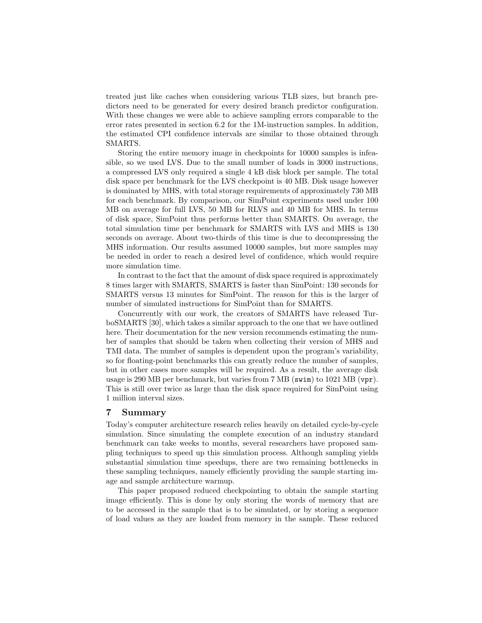treated just like caches when considering various TLB sizes, but branch predictors need to be generated for every desired branch predictor configuration. With these changes we were able to achieve sampling errors comparable to the error rates presented in section 6.2 for the 1M-instruction samples. In addition, the estimated CPI confidence intervals are similar to those obtained through SMARTS.

Storing the entire memory image in checkpoints for 10000 samples is infeasible, so we used LVS. Due to the small number of loads in 3000 instructions, a compressed LVS only required a single 4 kB disk block per sample. The total disk space per benchmark for the LVS checkpoint is 40 MB. Disk usage however is dominated by MHS, with total storage requirements of approximately 730 MB for each benchmark. By comparison, our SimPoint experiments used under 100 MB on average for full LVS, 50 MB for RLVS and 40 MB for MHS. In terms of disk space, SimPoint thus performs better than SMARTS. On average, the total simulation time per benchmark for SMARTS with LVS and MHS is 130 seconds on average. About two-thirds of this time is due to decompressing the MHS information. Our results assumed 10000 samples, but more samples may be needed in order to reach a desired level of confidence, which would require more simulation time.

In contrast to the fact that the amount of disk space required is approximately 8 times larger with SMARTS, SMARTS is faster than SimPoint: 130 seconds for SMARTS versus 13 minutes for SimPoint. The reason for this is the larger of number of simulated instructions for SimPoint than for SMARTS.

Concurrently with our work, the creators of SMARTS have released TurboSMARTS [30], which takes a similar approach to the one that we have outlined here. Their documentation for the new version recommends estimating the number of samples that should be taken when collecting their version of MHS and TMI data. The number of samples is dependent upon the program's variability, so for floating-point benchmarks this can greatly reduce the number of samples, but in other cases more samples will be required. As a result, the average disk usage is 290 MB per benchmark, but varies from 7 MB (swim) to 1021 MB (vpr). This is still over twice as large than the disk space required for SimPoint using 1 million interval sizes.

# **7 Summary**

Today's computer architecture research relies heavily on detailed cycle-by-cycle simulation. Since simulating the complete execution of an industry standard benchmark can take weeks to months, several researchers have proposed sampling techniques to speed up this simulation process. Although sampling yields substantial simulation time speedups, there are two remaining bottlenecks in these sampling techniques, namely efficiently providing the sample starting image and sample architecture warmup.

This paper proposed reduced checkpointing to obtain the sample starting image efficiently. This is done by only storing the words of memory that are to be accessed in the sample that is to be simulated, or by storing a sequence of load values as they are loaded from memory in the sample. These reduced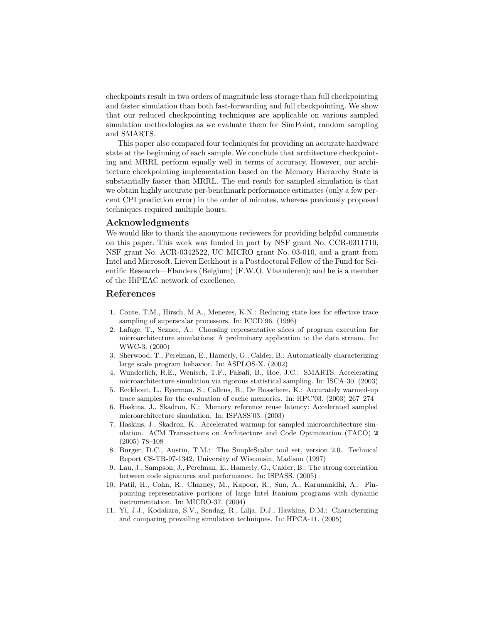checkpoints result in two orders of magnitude less storage than full checkpointing and faster simulation than both fast-forwarding and full checkpointing. We show that our reduced checkpointing techniques are applicable on various sampled simulation methodologies as we evaluate them for SimPoint, random sampling and SMARTS.

This paper also compared four techniques for providing an accurate hardware state at the beginning of each sample. We conclude that architecture checkpointing and MRRL perform equally well in terms of accuracy. However, our architecture checkpointing implementation based on the Memory Hierarchy State is substantially faster than MRRL. The end result for sampled simulation is that we obtain highly accurate per-benchmark performance estimates (only a few percent CPI prediction error) in the order of minutes, whereas previously proposed techniques required multiple hours.

# **Acknowledgments**

We would like to thank the anonymous reviewers for providing helpful comments on this paper. This work was funded in part by NSF grant No. CCR-0311710, NSF grant No. ACR-0342522, UC MICRO grant No. 03-010, and a grant from Intel and Microsoft. Lieven Eeckhout is a Postdoctoral Fellow of the Fund for Scientific Research—Flanders (Belgium) (F.W.O. Vlaanderen); and he is a member of the HiPEAC network of excellence.

# **References**

- 1. Conte, T.M., Hirsch, M.A., Menezes, K.N.: Reducing state loss for effective trace sampling of superscalar processors. In: ICCD'96. (1996)
- 2. Lafage, T., Seznec, A.: Choosing representative slices of program execution for microarchitecture simulations: A preliminary application to the data stream. In: WWC-3. (2000)
- 3. Sherwood, T., Perelman, E., Hamerly, G., Calder, B.: Automatically characterizing large scale program behavior. In: ASPLOS-X. (2002)
- 4. Wunderlich, R.E., Wenisch, T.F., Falsafi, B., Hoe, J.C.: SMARTS: Accelerating microarchitecture simulation via rigorous statistical sampling. In: ISCA-30. (2003)
- 5. Eeckhout, L., Eyerman, S., Callens, B., De Bosschere, K.: Accurately warmed-up trace samples for the evaluation of cache memories. In: HPC'03. (2003) 267–274
- 6. Haskins, J., Skadron, K.: Memory reference reuse latency: Accelerated sampled microarchitecture simulation. In: ISPASS'03. (2003)
- 7. Haskins, J., Skadron, K.: Accelerated warmup for sampled microarchitecture simulation. ACM Transactions on Architecture and Code Optimization (TACO) **2** (2005) 78–108
- 8. Burger, D.C., Austin, T.M.: The SimpleScalar tool set, version 2.0. Technical Report CS-TR-97-1342, University of Wisconsin, Madison (1997)
- 9. Lau, J., Sampson, J., Perelman, E., Hamerly, G., Calder, B.: The strong correlation between code signatures and performance. In: ISPASS. (2005)
- 10. Patil, H., Cohn, R., Charney, M., Kapoor, R., Sun, A., Karunanidhi, A.: Pinpointing representative portions of large Intel Itanium programs with dynamic instrumentation. In: MICRO-37. (2004)
- 11. Yi, J.J., Kodakara, S.V., Sendag, R., Lilja, D.J., Hawkins, D.M.: Characterizing and comparing prevailing simulation techniques. In: HPCA-11. (2005)